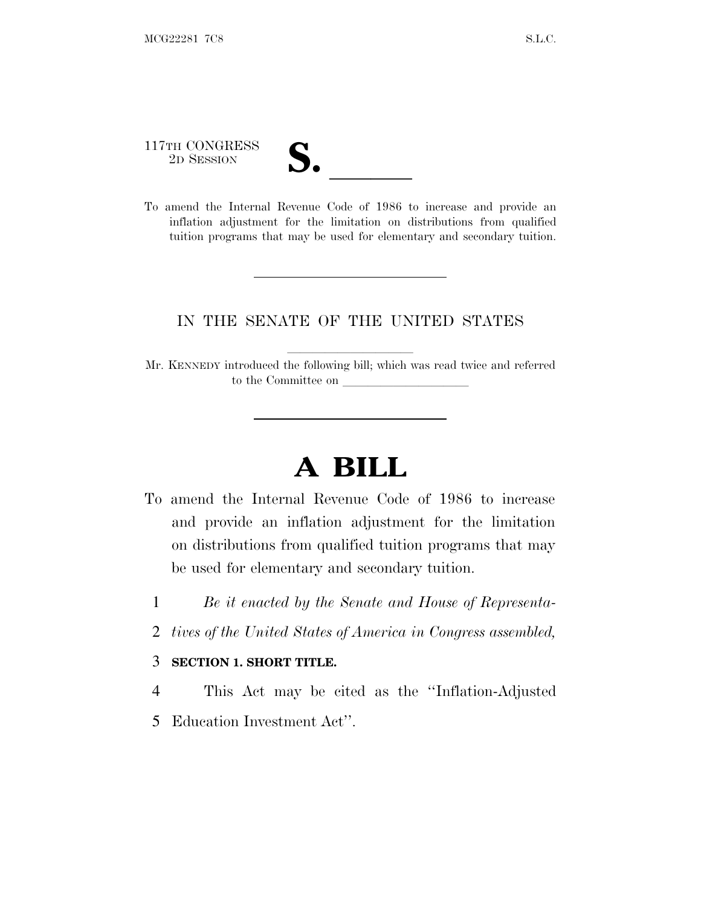## 117TH CONGRESS

TITTH CONGRESS<br>
<sup>2D SESSION</sup><br>
To amend the Internal Revenue Code of 1986 to increase and provide an inflation adjustment for the limitation on distributions from qualified tuition programs that may be used for elementary and secondary tuition.

## IN THE SENATE OF THE UNITED STATES

Mr. KENNEDY introduced the following bill; which was read twice and referred to the Committee on

## **A BILL**

- To amend the Internal Revenue Code of 1986 to increase and provide an inflation adjustment for the limitation on distributions from qualified tuition programs that may be used for elementary and secondary tuition.
	- 1 *Be it enacted by the Senate and House of Representa-*
	- 2 *tives of the United States of America in Congress assembled,*

## 3 **SECTION 1. SHORT TITLE.**

- 4 This Act may be cited as the ''Inflation-Adjusted
- 5 Education Investment Act''.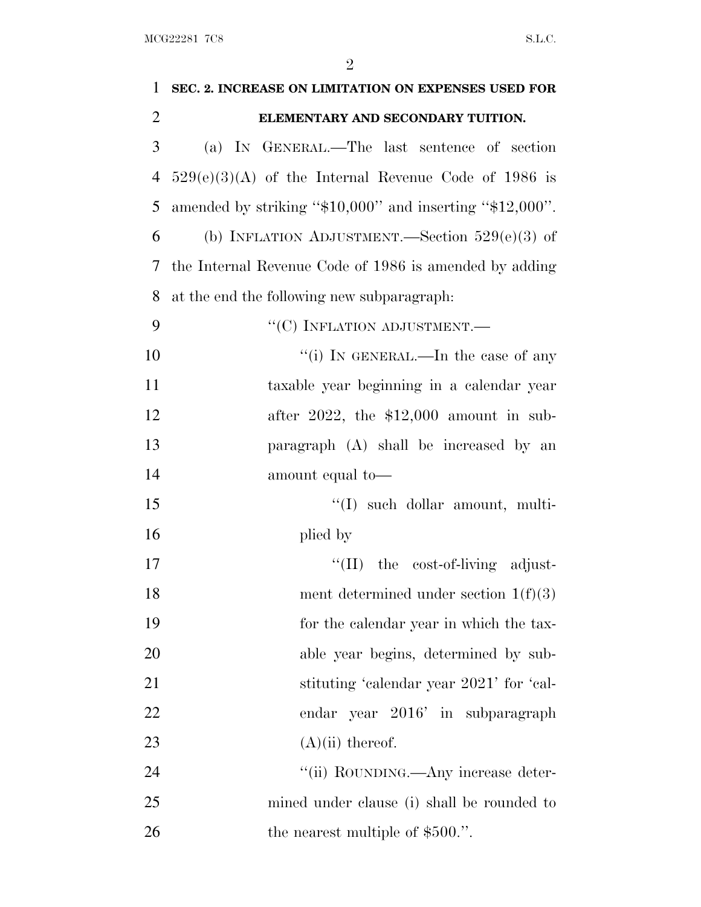| 1              | SEC. 2. INCREASE ON LIMITATION ON EXPENSES USED FOR      |
|----------------|----------------------------------------------------------|
| $\overline{2}$ | ELEMENTARY AND SECONDARY TUITION.                        |
| 3              | (a) IN GENERAL.—The last sentence of section             |
| $\overline{4}$ | $529(e)(3)(A)$ of the Internal Revenue Code of 1986 is   |
| 5              | amended by striking "\$10,000" and inserting "\$12,000". |
| 6              | (b) INFLATION ADJUSTMENT.—Section $529(e)(3)$ of         |
| 7              | the Internal Revenue Code of 1986 is amended by adding   |
| 8              | at the end the following new subparagraph:               |
| 9              | "(C) INFLATION ADJUSTMENT.-                              |
| 10             | "(i) IN GENERAL.—In the case of any                      |
| 11             | taxable year beginning in a calendar year                |
| 12             | after $2022$ , the \$12,000 amount in sub-               |
| 13             | paragraph (A) shall be increased by an                   |
| 14             | amount equal to-                                         |
| 15             | "(I) such dollar amount, multi-                          |
| 16             | plied by                                                 |
| 17             | $\lq\lq$ (II) the cost-of-living adjust-                 |
| 18             | ment determined under section $1(f)(3)$                  |
| 19             | for the calendar year in which the tax-                  |
| 20             | able year begins, determined by sub-                     |
| 21             | stituting 'calendar year 2021' for 'cal-                 |
| 22             | endar year 2016' in subparagraph                         |
| 23             | $(A)(ii)$ thereof.                                       |
| 24             | "(ii) ROUNDING.—Any increase deter-                      |
| 25             | mined under clause (i) shall be rounded to               |
| 26             | the nearest multiple of \$500.".                         |